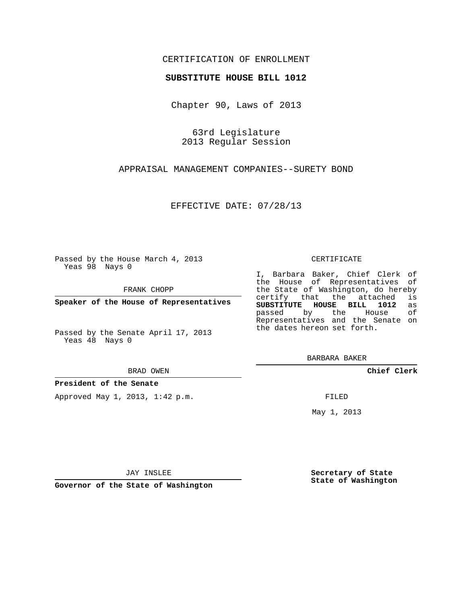## CERTIFICATION OF ENROLLMENT

### **SUBSTITUTE HOUSE BILL 1012**

Chapter 90, Laws of 2013

63rd Legislature 2013 Regular Session

APPRAISAL MANAGEMENT COMPANIES--SURETY BOND

EFFECTIVE DATE: 07/28/13

Passed by the House March 4, 2013 Yeas 98 Nays 0

FRANK CHOPP

**Speaker of the House of Representatives**

Passed by the Senate April 17, 2013 Yeas 48 Nays 0

#### BRAD OWEN

### **President of the Senate**

Approved May 1, 2013, 1:42 p.m.

#### CERTIFICATE

I, Barbara Baker, Chief Clerk of the House of Representatives of the State of Washington, do hereby<br>certify that the attached is certify that the attached **SUBSTITUTE HOUSE BILL 1012** as passed by the House Representatives and the Senate on the dates hereon set forth.

BARBARA BAKER

**Chief Clerk**

FILED

May 1, 2013

**Secretary of State State of Washington**

JAY INSLEE

**Governor of the State of Washington**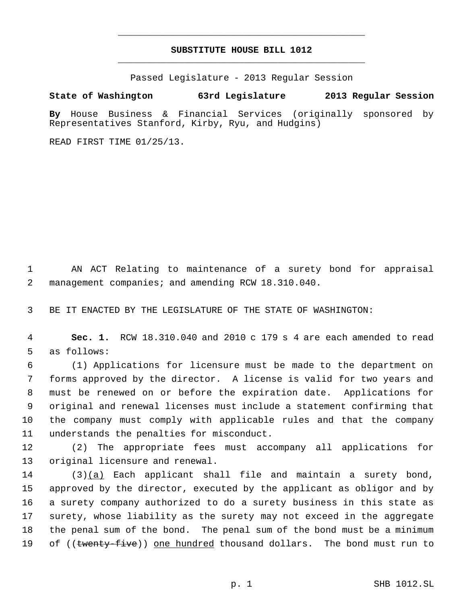# **SUBSTITUTE HOUSE BILL 1012** \_\_\_\_\_\_\_\_\_\_\_\_\_\_\_\_\_\_\_\_\_\_\_\_\_\_\_\_\_\_\_\_\_\_\_\_\_\_\_\_\_\_\_\_\_

\_\_\_\_\_\_\_\_\_\_\_\_\_\_\_\_\_\_\_\_\_\_\_\_\_\_\_\_\_\_\_\_\_\_\_\_\_\_\_\_\_\_\_\_\_

Passed Legislature - 2013 Regular Session

## **State of Washington 63rd Legislature 2013 Regular Session**

**By** House Business & Financial Services (originally sponsored by Representatives Stanford, Kirby, Ryu, and Hudgins)

READ FIRST TIME 01/25/13.

 AN ACT Relating to maintenance of a surety bond for appraisal management companies; and amending RCW 18.310.040.

BE IT ENACTED BY THE LEGISLATURE OF THE STATE OF WASHINGTON:

 **Sec. 1.** RCW 18.310.040 and 2010 c 179 s 4 are each amended to read as follows:

 (1) Applications for licensure must be made to the department on forms approved by the director. A license is valid for two years and must be renewed on or before the expiration date. Applications for original and renewal licenses must include a statement confirming that the company must comply with applicable rules and that the company understands the penalties for misconduct.

 (2) The appropriate fees must accompany all applications for original licensure and renewal.

 (3)(a) Each applicant shall file and maintain a surety bond, approved by the director, executed by the applicant as obligor and by a surety company authorized to do a surety business in this state as surety, whose liability as the surety may not exceed in the aggregate the penal sum of the bond. The penal sum of the bond must be a minimum 19 of ((twenty-five)) one hundred thousand dollars. The bond must run to